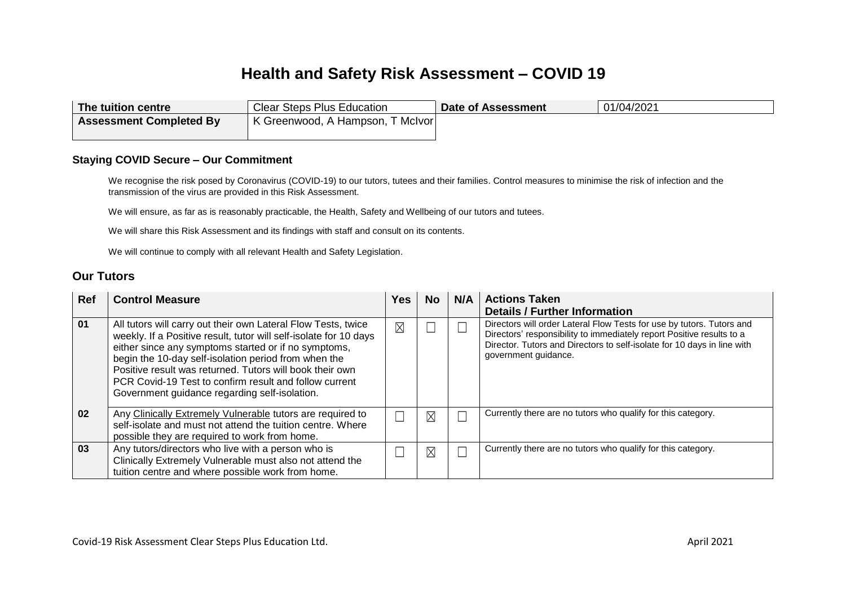# **Health and Safety Risk Assessment – COVID 19**

| The tuition centre             | <b>Clear Steps Plus Education</b>               | Date of Assessment | 01/04/2021 |
|--------------------------------|-------------------------------------------------|--------------------|------------|
| <b>Assessment Completed By</b> | K Greenwood, A Hampson,<br><sub>ັ</sub> McIvor⊤ |                    |            |

#### **Staying COVID Secure – Our Commitment**

We recognise the risk posed by Coronavirus (COVID-19) to our tutors, tutees and their families. Control measures to minimise the risk of infection and the transmission of the virus are provided in this Risk Assessment.

We will ensure, as far as is reasonably practicable, the Health, Safety and Wellbeing of our tutors and tutees.

We will share this Risk Assessment and its findings with staff and consult on its contents.

We will continue to comply with all relevant Health and Safety Legislation.

#### **Our Tutors**

| <b>Ref</b> | <b>Control Measure</b>                                                                                                                                                                                                                                                                                                                                                                                                    | 'es      | No.         | N/A | <b>Actions Taken</b><br><b>Details / Further Information</b>                                                                                                                                                                                      |
|------------|---------------------------------------------------------------------------------------------------------------------------------------------------------------------------------------------------------------------------------------------------------------------------------------------------------------------------------------------------------------------------------------------------------------------------|----------|-------------|-----|---------------------------------------------------------------------------------------------------------------------------------------------------------------------------------------------------------------------------------------------------|
| 01         | All tutors will carry out their own Lateral Flow Tests, twice<br>weekly. If a Positive result, tutor will self-isolate for 10 days<br>either since any symptoms started or if no symptoms,<br>begin the 10-day self-isolation period from when the<br>Positive result was returned. Tutors will book their own<br>PCR Covid-19 Test to confirm result and follow current<br>Government guidance regarding self-isolation. | $\times$ |             |     | Directors will order Lateral Flow Tests for use by tutors. Tutors and<br>Directors' responsibility to immediately report Positive results to a<br>Director. Tutors and Directors to self-isolate for 10 days in line with<br>government guidance. |
| 02         | Any Clinically Extremely Vulnerable tutors are required to<br>self-isolate and must not attend the tuition centre. Where<br>possible they are required to work from home.                                                                                                                                                                                                                                                 |          | $\boxtimes$ |     | Currently there are no tutors who qualify for this category.                                                                                                                                                                                      |
| 03         | Any tutors/directors who live with a person who is<br>Clinically Extremely Vulnerable must also not attend the<br>tuition centre and where possible work from home.                                                                                                                                                                                                                                                       |          | $\boxtimes$ |     | Currently there are no tutors who qualify for this category.                                                                                                                                                                                      |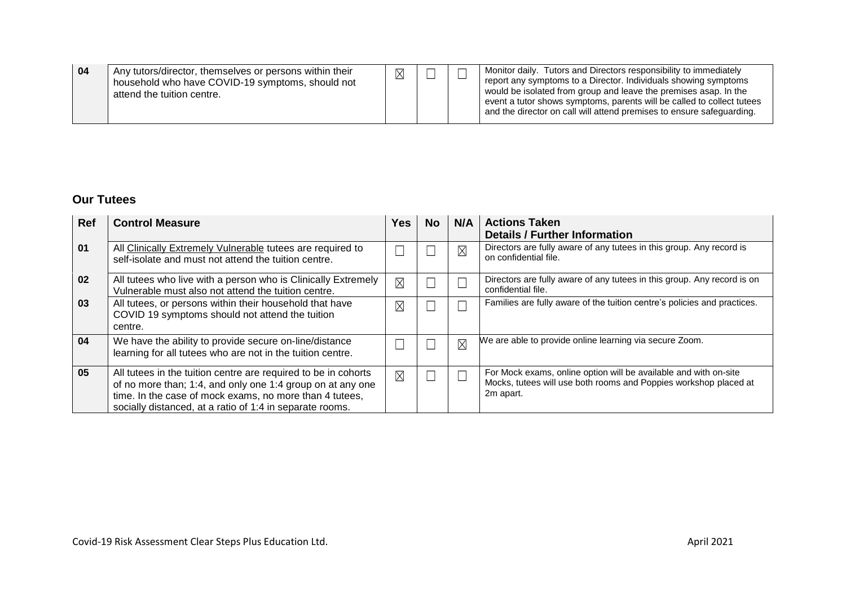| 04<br>Any tutors/director, themselves or persons within their<br>▽<br>household who have COVID-19 symptoms, should not<br>attend the tuition centre. |  | $\sim$ | Monitor daily. Tutors and Directors responsibility to immediately<br>report any symptoms to a Director. Individuals showing symptoms<br>would be isolated from group and leave the premises asap. In the<br>event a tutor shows symptoms, parents will be called to collect tutees<br>and the director on call will attend premises to ensure safeguarding. |
|------------------------------------------------------------------------------------------------------------------------------------------------------|--|--------|-------------------------------------------------------------------------------------------------------------------------------------------------------------------------------------------------------------------------------------------------------------------------------------------------------------------------------------------------------------|
|------------------------------------------------------------------------------------------------------------------------------------------------------|--|--------|-------------------------------------------------------------------------------------------------------------------------------------------------------------------------------------------------------------------------------------------------------------------------------------------------------------------------------------------------------------|

### **Our Tutees**

| Ref | <b>Control Measure</b>                                                                                                                                                                                                                              | <b>Yes</b>  | <b>No</b> | N/A         | <b>Actions Taken</b><br><b>Details / Further Information</b>                                                                                      |
|-----|-----------------------------------------------------------------------------------------------------------------------------------------------------------------------------------------------------------------------------------------------------|-------------|-----------|-------------|---------------------------------------------------------------------------------------------------------------------------------------------------|
| 01  | All Clinically Extremely Vulnerable tutees are required to<br>self-isolate and must not attend the tuition centre.                                                                                                                                  |             |           | $\times$    | Directors are fully aware of any tutees in this group. Any record is<br>on confidential file.                                                     |
| 02  | All tutees who live with a person who is Clinically Extremely<br>Vulnerable must also not attend the tuition centre.                                                                                                                                | $\times$    |           |             | Directors are fully aware of any tutees in this group. Any record is on<br>confidential file.                                                     |
| 03  | All tutees, or persons within their household that have<br>COVID 19 symptoms should not attend the tuition<br>centre.                                                                                                                               | $\times$    |           |             | Families are fully aware of the tuition centre's policies and practices.                                                                          |
| 04  | We have the ability to provide secure on-line/distance<br>learning for all tutees who are not in the tuition centre.                                                                                                                                |             |           | $\boxtimes$ | We are able to provide online learning via secure Zoom.                                                                                           |
| 05  | All tutees in the tuition centre are required to be in cohorts<br>of no more than; 1:4, and only one 1:4 group on at any one<br>time. In the case of mock exams, no more than 4 tutees,<br>socially distanced, at a ratio of 1:4 in separate rooms. | $\boxtimes$ |           |             | For Mock exams, online option will be available and with on-site<br>Mocks, tutees will use both rooms and Poppies workshop placed at<br>2m apart. |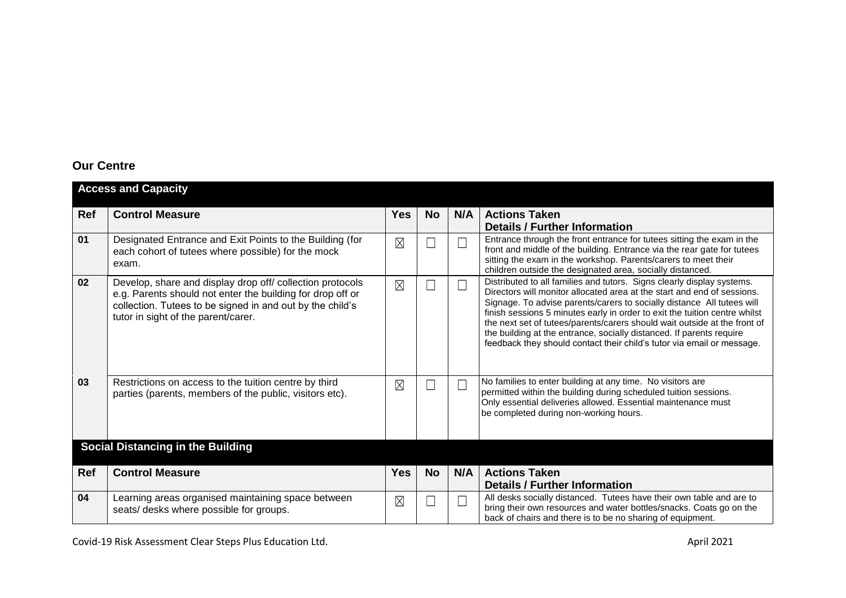# **Our Centre**

|            | <b>Access and Capacity</b>                                                                                                                                                                                                  |             |           |     |                                                                                                                                                                                                                                                                                                                                                                                                                                                                                                                                          |
|------------|-----------------------------------------------------------------------------------------------------------------------------------------------------------------------------------------------------------------------------|-------------|-----------|-----|------------------------------------------------------------------------------------------------------------------------------------------------------------------------------------------------------------------------------------------------------------------------------------------------------------------------------------------------------------------------------------------------------------------------------------------------------------------------------------------------------------------------------------------|
| Ref        | <b>Control Measure</b>                                                                                                                                                                                                      | <b>Yes</b>  | <b>No</b> | N/A | <b>Actions Taken</b><br><b>Details / Further Information</b>                                                                                                                                                                                                                                                                                                                                                                                                                                                                             |
| 01         | Designated Entrance and Exit Points to the Building (for<br>each cohort of tutees where possible) for the mock<br>exam.                                                                                                     | $\times$    | Е         | ×   | Entrance through the front entrance for tutees sitting the exam in the<br>front and middle of the building. Entrance via the rear gate for tutees<br>sitting the exam in the workshop. Parents/carers to meet their<br>children outside the designated area, socially distanced.                                                                                                                                                                                                                                                         |
| 02         | Develop, share and display drop off/ collection protocols<br>e.g. Parents should not enter the building for drop off or<br>collection. Tutees to be signed in and out by the child's<br>tutor in sight of the parent/carer. | $\times$    |           |     | Distributed to all families and tutors. Signs clearly display systems.<br>Directors will monitor allocated area at the start and end of sessions.<br>Signage. To advise parents/carers to socially distance All tutees will<br>finish sessions 5 minutes early in order to exit the tuition centre whilst<br>the next set of tutees/parents/carers should wait outside at the front of<br>the building at the entrance, socially distanced. If parents require<br>feedback they should contact their child's tutor via email or message. |
| 03         | Restrictions on access to the tuition centre by third<br>parties (parents, members of the public, visitors etc).                                                                                                            | $\times$    | Γ         |     | No families to enter building at any time. No visitors are<br>permitted within the building during scheduled tuition sessions.<br>Only essential deliveries allowed. Essential maintenance must<br>be completed during non-working hours.                                                                                                                                                                                                                                                                                                |
|            | <b>Social Distancing in the Building</b>                                                                                                                                                                                    |             |           |     |                                                                                                                                                                                                                                                                                                                                                                                                                                                                                                                                          |
| <b>Ref</b> | <b>Control Measure</b>                                                                                                                                                                                                      | <b>Yes</b>  | <b>No</b> | N/A | <b>Actions Taken</b><br><b>Details / Further Information</b>                                                                                                                                                                                                                                                                                                                                                                                                                                                                             |
| 04         | Learning areas organised maintaining space between<br>seats/ desks where possible for groups.                                                                                                                               | $\boxtimes$ | Г         |     | All desks socially distanced. Tutees have their own table and are to<br>bring their own resources and water bottles/snacks. Coats go on the<br>back of chairs and there is to be no sharing of equipment.                                                                                                                                                                                                                                                                                                                                |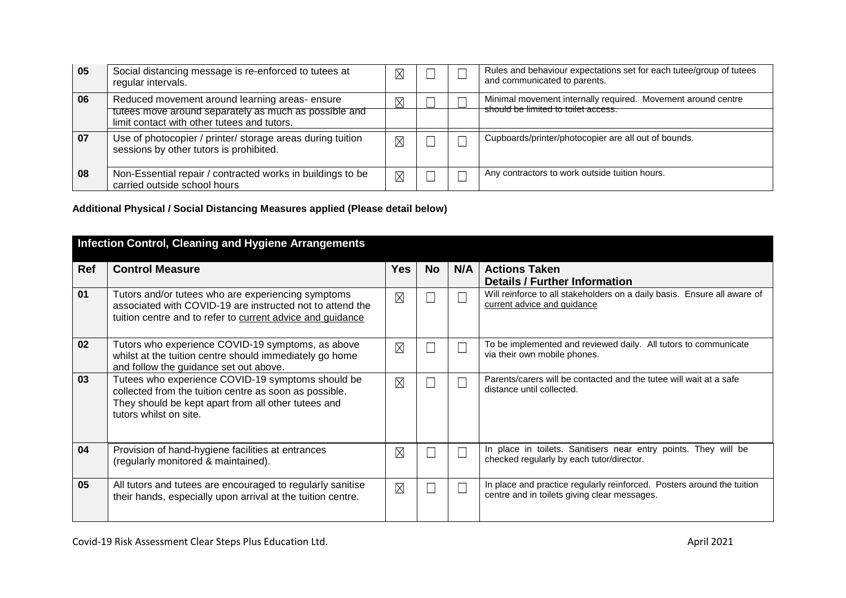| 05 | Social distancing message is re-enforced to tutees at<br>regular intervals.                                                                           | $\boxtimes$             |  | Rules and behaviour expectations set for each tutee/group of tutees<br>and communicated to parents. |
|----|-------------------------------------------------------------------------------------------------------------------------------------------------------|-------------------------|--|-----------------------------------------------------------------------------------------------------|
| 06 | Reduced movement around learning areas-ensure<br>tutees move around separately as much as possible and<br>limit contact with other tutees and tutors. | Χ                       |  | Minimal movement internally required. Movement around centre<br>should be limited to toilet access. |
| 07 | Use of photocopier / printer/ storage areas during tuition<br>sessions by other tutors is prohibited.                                                 | $\overline{\mathsf{X}}$ |  | Cupboards/printer/photocopier are all out of bounds.                                                |
| 08 | Non-Essential repair / contracted works in buildings to be<br>carried outside school hours                                                            | $\boxtimes$             |  | Any contractors to work outside tuition hours.                                                      |

### **Additional Physical / Social Distancing Measures applied (Please detail below)**

|     | <b>Infection Control, Cleaning and Hygiene Arrangements</b>                                                                                                                                  |             |           |     |                                                                                                                        |  |  |  |  |
|-----|----------------------------------------------------------------------------------------------------------------------------------------------------------------------------------------------|-------------|-----------|-----|------------------------------------------------------------------------------------------------------------------------|--|--|--|--|
| Ref | <b>Control Measure</b>                                                                                                                                                                       | <b>Yes</b>  | <b>No</b> | N/A | <b>Actions Taken</b><br><b>Details / Further Information</b>                                                           |  |  |  |  |
| 01  | Tutors and/or tutees who are experiencing symptoms<br>associated with COVID-19 are instructed not to attend the<br>tuition centre and to refer to current advice and guidance                | $\boxtimes$ |           |     | Will reinforce to all stakeholders on a daily basis. Ensure all aware of<br>current advice and guidance                |  |  |  |  |
| 02  | Tutors who experience COVID-19 symptoms, as above<br>whilst at the tuition centre should immediately go home<br>and follow the guidance set out above.                                       | $\times$    |           |     | To be implemented and reviewed daily. All tutors to communicate<br>via their own mobile phones.                        |  |  |  |  |
| 03  | Tutees who experience COVID-19 symptoms should be<br>collected from the tuition centre as soon as possible.<br>They should be kept apart from all other tutees and<br>tutors whilst on site. | $\times$    |           |     | Parents/carers will be contacted and the tutee will wait at a safe<br>distance until collected.                        |  |  |  |  |
| 04  | Provision of hand-hygiene facilities at entrances<br>(regularly monitored & maintained).                                                                                                     | $\times$    |           |     | In place in toilets. Sanitisers near entry points. They will be<br>checked regularly by each tutor/director.           |  |  |  |  |
| 05  | All tutors and tutees are encouraged to regularly sanitise<br>their hands, especially upon arrival at the tuition centre.                                                                    | $\boxtimes$ |           |     | In place and practice regularly reinforced. Posters around the tuition<br>centre and in toilets giving clear messages. |  |  |  |  |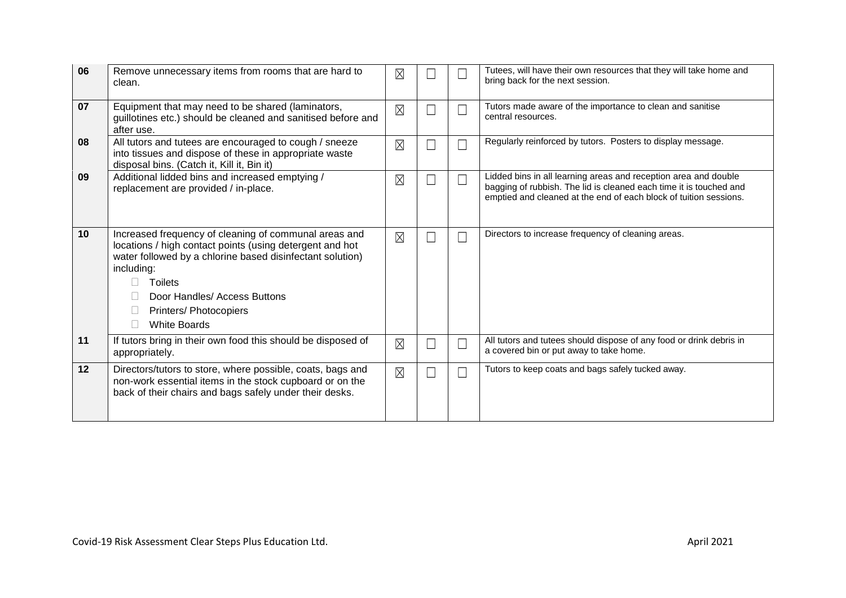| 06 | Remove unnecessary items from rooms that are hard to<br>clean.                                                                                                                                                                                                                                                           | $\times$    |   |        | Tutees, will have their own resources that they will take home and<br>bring back for the next session.                                                                                                     |
|----|--------------------------------------------------------------------------------------------------------------------------------------------------------------------------------------------------------------------------------------------------------------------------------------------------------------------------|-------------|---|--------|------------------------------------------------------------------------------------------------------------------------------------------------------------------------------------------------------------|
| 07 | Equipment that may need to be shared (laminators,<br>guillotines etc.) should be cleaned and sanitised before and<br>after use.                                                                                                                                                                                          | $\boxtimes$ |   | ┓      | Tutors made aware of the importance to clean and sanitise<br>central resources.                                                                                                                            |
| 08 | All tutors and tutees are encouraged to cough / sneeze<br>into tissues and dispose of these in appropriate waste<br>disposal bins. (Catch it, Kill it, Bin it)                                                                                                                                                           | $\boxtimes$ | L | Ξ      | Regularly reinforced by tutors. Posters to display message.                                                                                                                                                |
| 09 | Additional lidded bins and increased emptying /<br>replacement are provided / in-place.                                                                                                                                                                                                                                  | $\boxtimes$ | L | $\Box$ | Lidded bins in all learning areas and reception area and double<br>bagging of rubbish. The lid is cleaned each time it is touched and<br>emptied and cleaned at the end of each block of tuition sessions. |
| 10 | Increased frequency of cleaning of communal areas and<br>locations / high contact points (using detergent and hot<br>water followed by a chlorine based disinfectant solution)<br>including:<br><b>Toilets</b><br>$\Box$<br>Door Handles/ Access Buttons<br>Printers/ Photocopiers<br>П<br><b>White Boards</b><br>$\Box$ | $\boxtimes$ | Г | П      | Directors to increase frequency of cleaning areas.                                                                                                                                                         |
| 11 | If tutors bring in their own food this should be disposed of<br>appropriately.                                                                                                                                                                                                                                           | $\boxtimes$ | Г | П      | All tutors and tutees should dispose of any food or drink debris in<br>a covered bin or put away to take home.                                                                                             |
| 12 | Directors/tutors to store, where possible, coats, bags and<br>non-work essential items in the stock cupboard or on the<br>back of their chairs and bags safely under their desks.                                                                                                                                        | $\boxtimes$ | Г | П      | Tutors to keep coats and bags safely tucked away.                                                                                                                                                          |